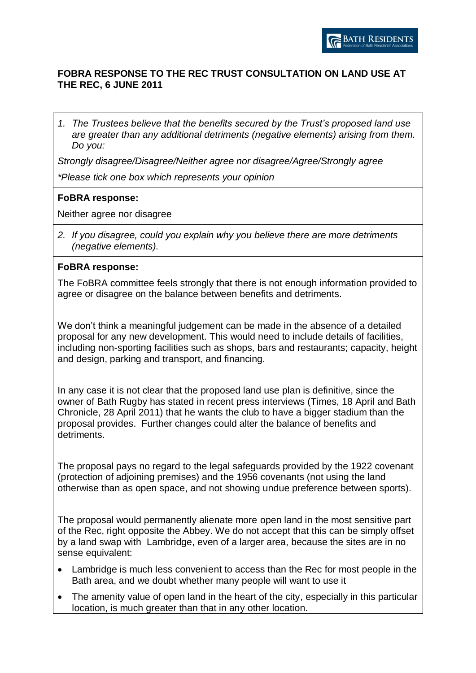## **FOBRA RESPONSE TO THE REC TRUST CONSULTATION ON LAND USE AT THE REC, 6 JUNE 2011**

*1. The Trustees believe that the benefits secured by the Trust's proposed land use are greater than any additional detriments (negative elements) arising from them. Do you:* 

*Strongly disagree/Disagree/Neither agree nor disagree/Agree/Strongly agree*

*\*Please tick one box which represents your opinion*

### **FoBRA response:**

Neither agree nor disagree

*2. If you disagree, could you explain why you believe there are more detriments (negative elements).*

#### **FoBRA response:**

The FoBRA committee feels strongly that there is not enough information provided to agree or disagree on the balance between benefits and detriments.

We don't think a meaningful judgement can be made in the absence of a detailed proposal for any new development. This would need to include details of facilities, including non-sporting facilities such as shops, bars and restaurants; capacity, height and design, parking and transport, and financing.

In any case it is not clear that the proposed land use plan is definitive, since the owner of Bath Rugby has stated in recent press interviews (Times, 18 April and Bath Chronicle, 28 April 2011) that he wants the club to have a bigger stadium than the proposal provides. Further changes could alter the balance of benefits and detriments.

The proposal pays no regard to the legal safeguards provided by the 1922 covenant (protection of adjoining premises) and the 1956 covenants (not using the land otherwise than as open space, and not showing undue preference between sports).

The proposal would permanently alienate more open land in the most sensitive part of the Rec, right opposite the Abbey. We do not accept that this can be simply offset by a land swap with Lambridge, even of a larger area, because the sites are in no sense equivalent:

- Lambridge is much less convenient to access than the Rec for most people in the Bath area, and we doubt whether many people will want to use it
- The amenity value of open land in the heart of the city, especially in this particular location, is much greater than that in any other location.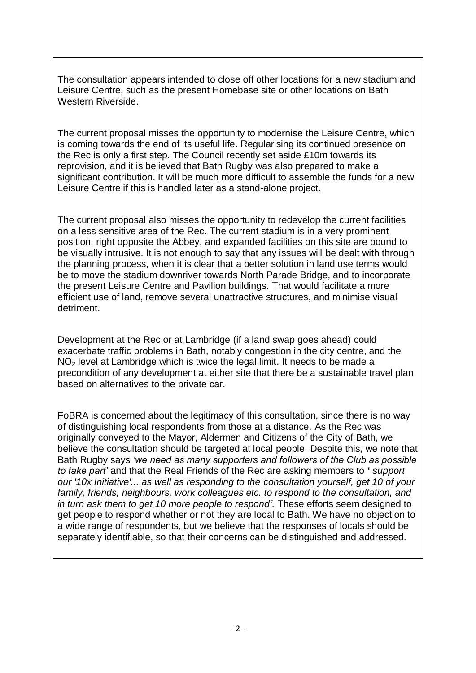The consultation appears intended to close off other locations for a new stadium and Leisure Centre, such as the present Homebase site or other locations on Bath Western Riverside.

The current proposal misses the opportunity to modernise the Leisure Centre, which is coming towards the end of its useful life. Regularising its continued presence on the Rec is only a first step. The Council recently set aside £10m towards its reprovision, and it is believed that Bath Rugby was also prepared to make a significant contribution. It will be much more difficult to assemble the funds for a new Leisure Centre if this is handled later as a stand-alone project.

The current proposal also misses the opportunity to redevelop the current facilities on a less sensitive area of the Rec. The current stadium is in a very prominent position, right opposite the Abbey, and expanded facilities on this site are bound to be visually intrusive. It is not enough to say that any issues will be dealt with through the planning process, when it is clear that a better solution in land use terms would be to move the stadium downriver towards North Parade Bridge, and to incorporate the present Leisure Centre and Pavilion buildings. That would facilitate a more efficient use of land, remove several unattractive structures, and minimise visual detriment.

Development at the Rec or at Lambridge (if a land swap goes ahead) could exacerbate traffic problems in Bath, notably congestion in the city centre, and the NO<sub>2</sub> level at Lambridge which is twice the legal limit. It needs to be made a precondition of any development at either site that there be a sustainable travel plan based on alternatives to the private car.

FoBRA is concerned about the legitimacy of this consultation, since there is no way of distinguishing local respondents from those at a distance. As the Rec was originally conveyed to the Mayor, Aldermen and Citizens of the City of Bath, we believe the consultation should be targeted at local people. Despite this, we note that Bath Rugby says *'we need as many supporters and followers of the Club as possible to take part'* and that the Real Friends of the Rec are asking members to **'** *support our '10x Initiative'....as well as responding to the consultation yourself, get 10 of your family, friends, neighbours, work colleagues etc. to respond to the consultation, and in turn ask them to get 10 more people to respond'.* These efforts seem designed to get people to respond whether or not they are local to Bath. We have no objection to a wide range of respondents, but we believe that the responses of locals should be separately identifiable, so that their concerns can be distinguished and addressed.